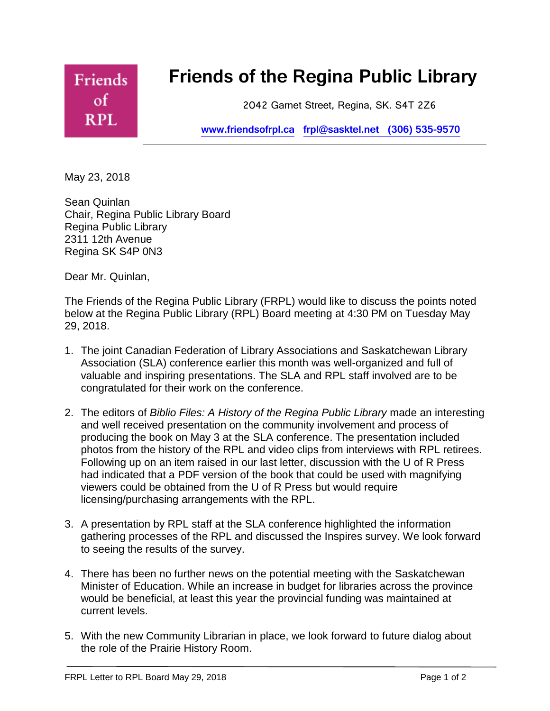

May 23, 2018

Sean Quinlan Chair, Regina Public Library Board Regina Public Library 2311 12th Avenue Regina SK S4P 0N3

Dear Mr. Quinlan,

The Friends of the Regina Public Library (FRPL) would like to discuss the points noted below at the Regina Public Library (RPL) Board meeting at 4:30 PM on Tuesday May 29, 2018.

- 1. The joint Canadian Federation of Library Associations and Saskatchewan Library Association (SLA) conference earlier this month was well-organized and full of valuable and inspiring presentations. The SLA and RPL staff involved are to be congratulated for their work on the conference.
- 2. The editors of *Biblio Files: A History of the Regina Public Library* made an interesting and well received presentation on the community involvement and process of producing the book on May 3 at the SLA conference. The presentation included photos from the history of the RPL and video clips from interviews with RPL retirees. Following up on an item raised in our last letter, discussion with the U of R Press had indicated that a PDF version of the book that could be used with magnifying viewers could be obtained from the U of R Press but would require licensing/purchasing arrangements with the RPL.
- 3. A presentation by RPL staff at the SLA conference highlighted the information gathering processes of the RPL and discussed the Inspires survey. We look forward to seeing the results of the survey.
- 4. There has been no further news on the potential meeting with the Saskatchewan Minister of Education. While an increase in budget for libraries across the province would be beneficial, at least this year the provincial funding was maintained at current levels.
- 5. With the new Community Librarian in place, we look forward to future dialog about the role of the Prairie History Room.